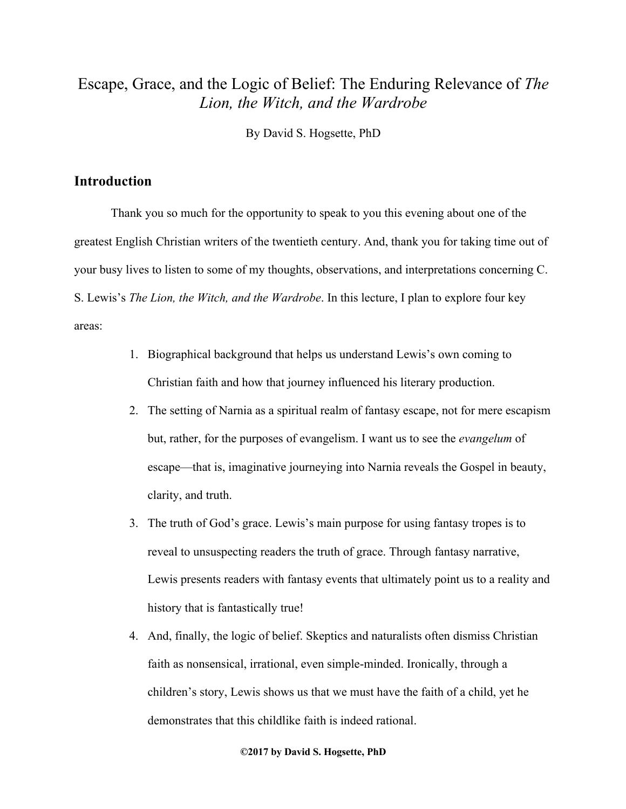# Escape, Grace, and the Logic of Belief: The Enduring Relevance of *The Lion, the Witch, and the Wardrobe*

By David S. Hogsette, PhD

### **Introduction**

Thank you so much for the opportunity to speak to you this evening about one of the greatest English Christian writers of the twentieth century. And, thank you for taking time out of your busy lives to listen to some of my thoughts, observations, and interpretations concerning C. S. Lewis's *The Lion, the Witch, and the Wardrobe*. In this lecture, I plan to explore four key areas:

- 1. Biographical background that helps us understand Lewis's own coming to Christian faith and how that journey influenced his literary production.
- 2. The setting of Narnia as a spiritual realm of fantasy escape, not for mere escapism but, rather, for the purposes of evangelism. I want us to see the *evangelum* of escape—that is, imaginative journeying into Narnia reveals the Gospel in beauty, clarity, and truth.
- 3. The truth of God's grace. Lewis's main purpose for using fantasy tropes is to reveal to unsuspecting readers the truth of grace. Through fantasy narrative, Lewis presents readers with fantasy events that ultimately point us to a reality and history that is fantastically true!
- 4. And, finally, the logic of belief. Skeptics and naturalists often dismiss Christian faith as nonsensical, irrational, even simple-minded. Ironically, through a children's story, Lewis shows us that we must have the faith of a child, yet he demonstrates that this childlike faith is indeed rational.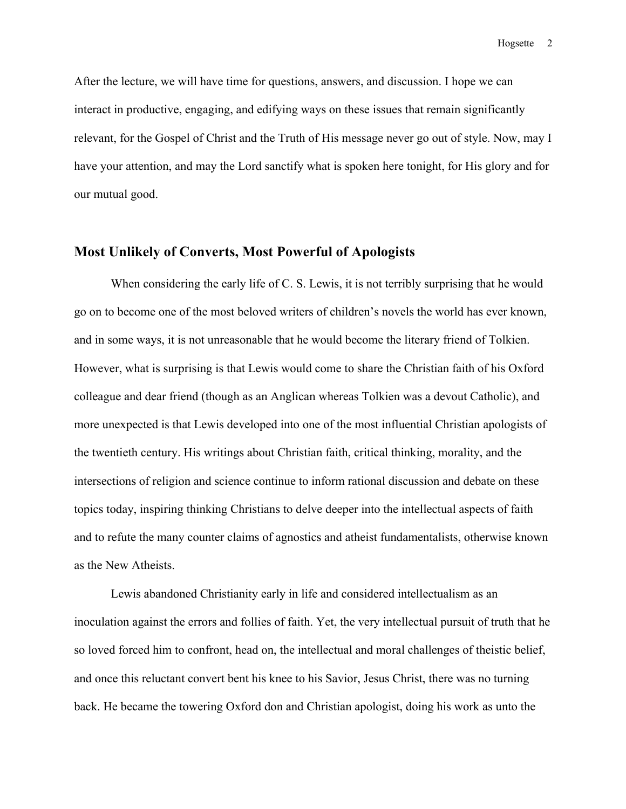After the lecture, we will have time for questions, answers, and discussion. I hope we can interact in productive, engaging, and edifying ways on these issues that remain significantly relevant, for the Gospel of Christ and the Truth of His message never go out of style. Now, may I have your attention, and may the Lord sanctify what is spoken here tonight, for His glory and for our mutual good.

### **Most Unlikely of Converts, Most Powerful of Apologists**

When considering the early life of C. S. Lewis, it is not terribly surprising that he would go on to become one of the most beloved writers of children's novels the world has ever known, and in some ways, it is not unreasonable that he would become the literary friend of Tolkien. However, what is surprising is that Lewis would come to share the Christian faith of his Oxford colleague and dear friend (though as an Anglican whereas Tolkien was a devout Catholic), and more unexpected is that Lewis developed into one of the most influential Christian apologists of the twentieth century. His writings about Christian faith, critical thinking, morality, and the intersections of religion and science continue to inform rational discussion and debate on these topics today, inspiring thinking Christians to delve deeper into the intellectual aspects of faith and to refute the many counter claims of agnostics and atheist fundamentalists, otherwise known as the New Atheists.

Lewis abandoned Christianity early in life and considered intellectualism as an inoculation against the errors and follies of faith. Yet, the very intellectual pursuit of truth that he so loved forced him to confront, head on, the intellectual and moral challenges of theistic belief, and once this reluctant convert bent his knee to his Savior, Jesus Christ, there was no turning back. He became the towering Oxford don and Christian apologist, doing his work as unto the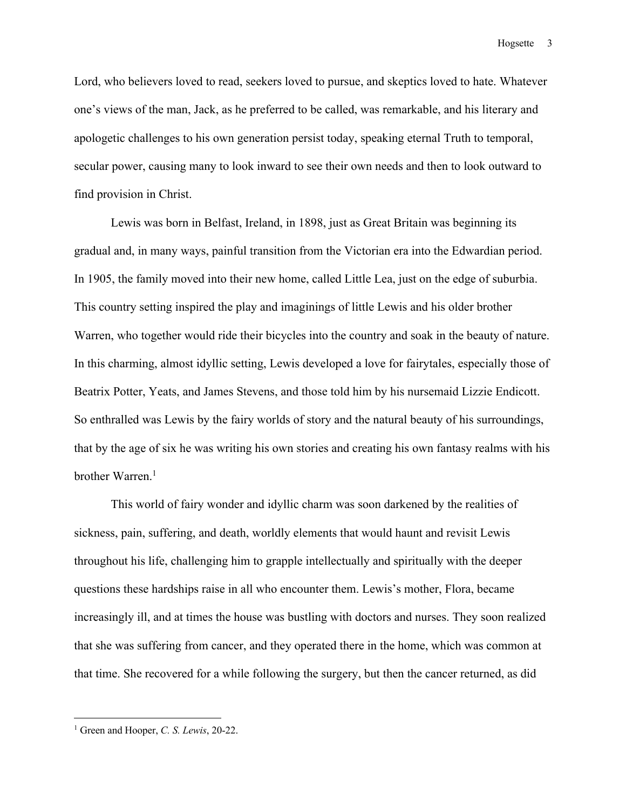Lord, who believers loved to read, seekers loved to pursue, and skeptics loved to hate. Whatever one's views of the man, Jack, as he preferred to be called, was remarkable, and his literary and apologetic challenges to his own generation persist today, speaking eternal Truth to temporal, secular power, causing many to look inward to see their own needs and then to look outward to find provision in Christ.

Lewis was born in Belfast, Ireland, in 1898, just as Great Britain was beginning its gradual and, in many ways, painful transition from the Victorian era into the Edwardian period. In 1905, the family moved into their new home, called Little Lea, just on the edge of suburbia. This country setting inspired the play and imaginings of little Lewis and his older brother Warren, who together would ride their bicycles into the country and soak in the beauty of nature. In this charming, almost idyllic setting, Lewis developed a love for fairytales, especially those of Beatrix Potter, Yeats, and James Stevens, and those told him by his nursemaid Lizzie Endicott. So enthralled was Lewis by the fairy worlds of story and the natural beauty of his surroundings, that by the age of six he was writing his own stories and creating his own fantasy realms with his brother Warren.<sup>1</sup>

This world of fairy wonder and idyllic charm was soon darkened by the realities of sickness, pain, suffering, and death, worldly elements that would haunt and revisit Lewis throughout his life, challenging him to grapple intellectually and spiritually with the deeper questions these hardships raise in all who encounter them. Lewis's mother, Flora, became increasingly ill, and at times the house was bustling with doctors and nurses. They soon realized that she was suffering from cancer, and they operated there in the home, which was common at that time. She recovered for a while following the surgery, but then the cancer returned, as did

<sup>1</sup> Green and Hooper, *C. S. Lewis*, 20-22.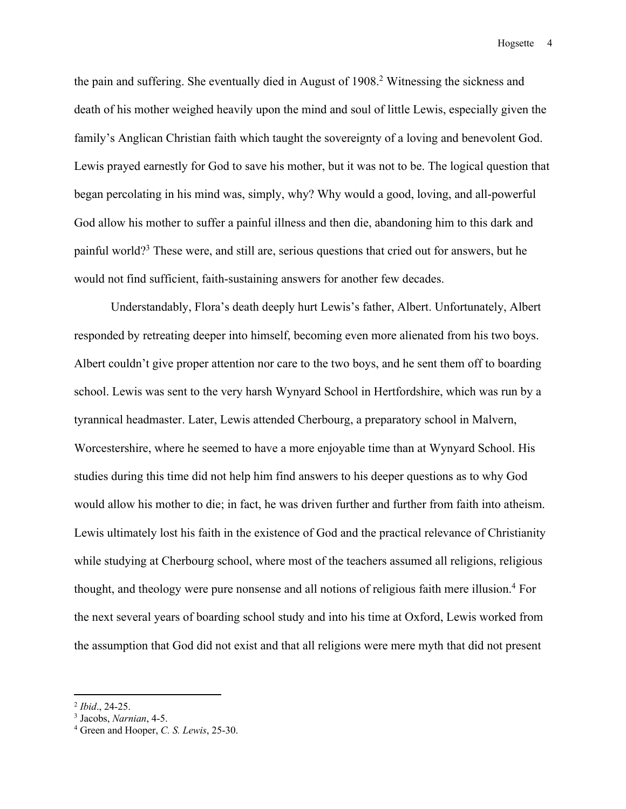the pain and suffering. She eventually died in August of 1908.<sup>2</sup> Witnessing the sickness and death of his mother weighed heavily upon the mind and soul of little Lewis, especially given the family's Anglican Christian faith which taught the sovereignty of a loving and benevolent God. Lewis prayed earnestly for God to save his mother, but it was not to be. The logical question that began percolating in his mind was, simply, why? Why would a good, loving, and all-powerful God allow his mother to suffer a painful illness and then die, abandoning him to this dark and painful world?3 These were, and still are, serious questions that cried out for answers, but he would not find sufficient, faith-sustaining answers for another few decades.

Understandably, Flora's death deeply hurt Lewis's father, Albert. Unfortunately, Albert responded by retreating deeper into himself, becoming even more alienated from his two boys. Albert couldn't give proper attention nor care to the two boys, and he sent them off to boarding school. Lewis was sent to the very harsh Wynyard School in Hertfordshire, which was run by a tyrannical headmaster. Later, Lewis attended Cherbourg, a preparatory school in Malvern, Worcestershire, where he seemed to have a more enjoyable time than at Wynyard School. His studies during this time did not help him find answers to his deeper questions as to why God would allow his mother to die; in fact, he was driven further and further from faith into atheism. Lewis ultimately lost his faith in the existence of God and the practical relevance of Christianity while studying at Cherbourg school, where most of the teachers assumed all religions, religious thought, and theology were pure nonsense and all notions of religious faith mere illusion.4 For the next several years of boarding school study and into his time at Oxford, Lewis worked from the assumption that God did not exist and that all religions were mere myth that did not present

<sup>2</sup> *Ibid*., 24-25. 3 Jacobs, *Narnian*, 4-5.

<sup>4</sup> Green and Hooper, *C. S. Lewis*, 25-30.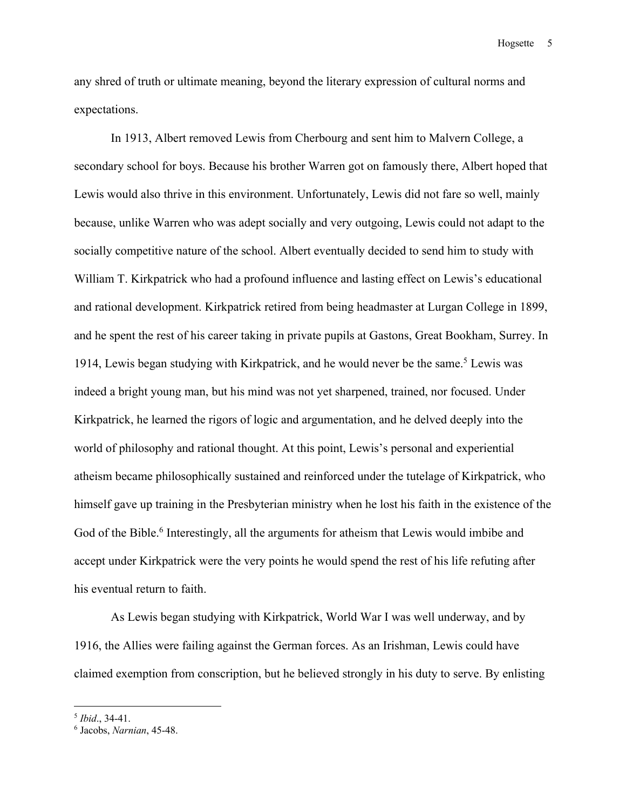any shred of truth or ultimate meaning, beyond the literary expression of cultural norms and expectations.

In 1913, Albert removed Lewis from Cherbourg and sent him to Malvern College, a secondary school for boys. Because his brother Warren got on famously there, Albert hoped that Lewis would also thrive in this environment. Unfortunately, Lewis did not fare so well, mainly because, unlike Warren who was adept socially and very outgoing, Lewis could not adapt to the socially competitive nature of the school. Albert eventually decided to send him to study with William T. Kirkpatrick who had a profound influence and lasting effect on Lewis's educational and rational development. Kirkpatrick retired from being headmaster at Lurgan College in 1899, and he spent the rest of his career taking in private pupils at Gastons, Great Bookham, Surrey. In 1914, Lewis began studying with Kirkpatrick, and he would never be the same.<sup>5</sup> Lewis was indeed a bright young man, but his mind was not yet sharpened, trained, nor focused. Under Kirkpatrick, he learned the rigors of logic and argumentation, and he delved deeply into the world of philosophy and rational thought. At this point, Lewis's personal and experiential atheism became philosophically sustained and reinforced under the tutelage of Kirkpatrick, who himself gave up training in the Presbyterian ministry when he lost his faith in the existence of the God of the Bible.<sup>6</sup> Interestingly, all the arguments for atheism that Lewis would imbibe and accept under Kirkpatrick were the very points he would spend the rest of his life refuting after his eventual return to faith.

As Lewis began studying with Kirkpatrick, World War I was well underway, and by 1916, the Allies were failing against the German forces. As an Irishman, Lewis could have claimed exemption from conscription, but he believed strongly in his duty to serve. By enlisting

<sup>5</sup> *Ibid*., 34-41.

<sup>6</sup> Jacobs, *Narnian*, 45-48.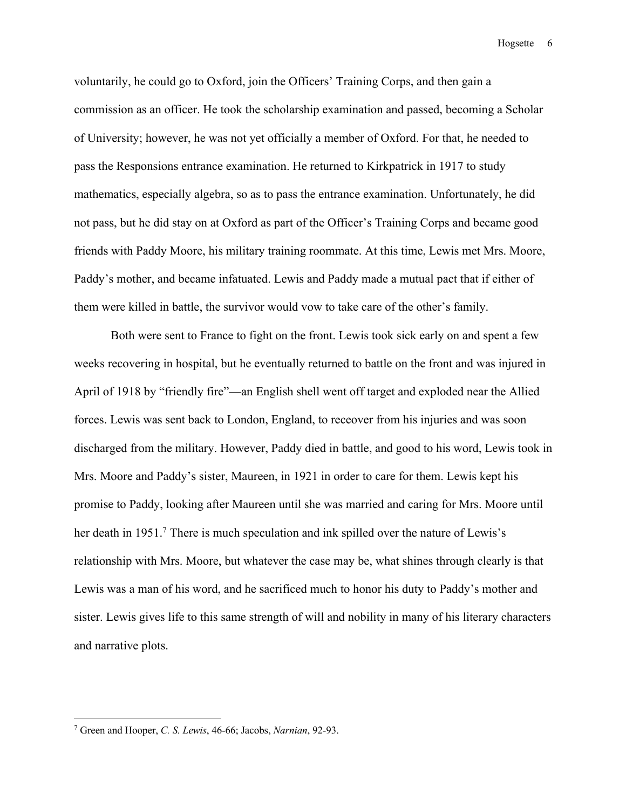voluntarily, he could go to Oxford, join the Officers' Training Corps, and then gain a commission as an officer. He took the scholarship examination and passed, becoming a Scholar of University; however, he was not yet officially a member of Oxford. For that, he needed to pass the Responsions entrance examination. He returned to Kirkpatrick in 1917 to study mathematics, especially algebra, so as to pass the entrance examination. Unfortunately, he did not pass, but he did stay on at Oxford as part of the Officer's Training Corps and became good friends with Paddy Moore, his military training roommate. At this time, Lewis met Mrs. Moore, Paddy's mother, and became infatuated. Lewis and Paddy made a mutual pact that if either of them were killed in battle, the survivor would vow to take care of the other's family.

Both were sent to France to fight on the front. Lewis took sick early on and spent a few weeks recovering in hospital, but he eventually returned to battle on the front and was injured in April of 1918 by "friendly fire"—an English shell went off target and exploded near the Allied forces. Lewis was sent back to London, England, to receover from his injuries and was soon discharged from the military. However, Paddy died in battle, and good to his word, Lewis took in Mrs. Moore and Paddy's sister, Maureen, in 1921 in order to care for them. Lewis kept his promise to Paddy, looking after Maureen until she was married and caring for Mrs. Moore until her death in 1951.<sup>7</sup> There is much speculation and ink spilled over the nature of Lewis's relationship with Mrs. Moore, but whatever the case may be, what shines through clearly is that Lewis was a man of his word, and he sacrificed much to honor his duty to Paddy's mother and sister. Lewis gives life to this same strength of will and nobility in many of his literary characters and narrative plots.

<sup>7</sup> Green and Hooper, *C. S. Lewis*, 46-66; Jacobs, *Narnian*, 92-93.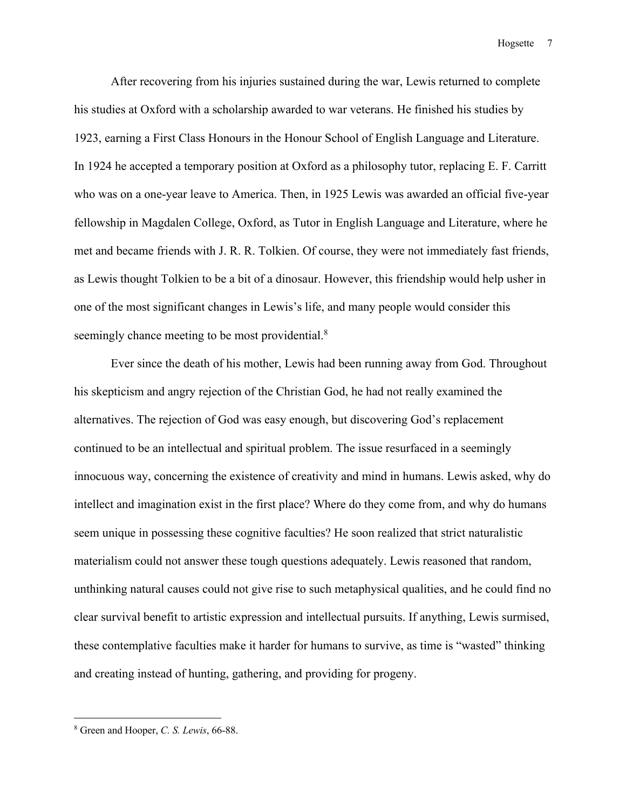After recovering from his injuries sustained during the war, Lewis returned to complete his studies at Oxford with a scholarship awarded to war veterans. He finished his studies by 1923, earning a First Class Honours in the Honour School of English Language and Literature. In 1924 he accepted a temporary position at Oxford as a philosophy tutor, replacing E. F. Carritt who was on a one-year leave to America. Then, in 1925 Lewis was awarded an official five-year fellowship in Magdalen College, Oxford, as Tutor in English Language and Literature, where he met and became friends with J. R. R. Tolkien. Of course, they were not immediately fast friends, as Lewis thought Tolkien to be a bit of a dinosaur. However, this friendship would help usher in one of the most significant changes in Lewis's life, and many people would consider this seemingly chance meeting to be most providential.<sup>8</sup>

Ever since the death of his mother, Lewis had been running away from God. Throughout his skepticism and angry rejection of the Christian God, he had not really examined the alternatives. The rejection of God was easy enough, but discovering God's replacement continued to be an intellectual and spiritual problem. The issue resurfaced in a seemingly innocuous way, concerning the existence of creativity and mind in humans. Lewis asked, why do intellect and imagination exist in the first place? Where do they come from, and why do humans seem unique in possessing these cognitive faculties? He soon realized that strict naturalistic materialism could not answer these tough questions adequately. Lewis reasoned that random, unthinking natural causes could not give rise to such metaphysical qualities, and he could find no clear survival benefit to artistic expression and intellectual pursuits. If anything, Lewis surmised, these contemplative faculties make it harder for humans to survive, as time is "wasted" thinking and creating instead of hunting, gathering, and providing for progeny.

<sup>8</sup> Green and Hooper, *C. S. Lewis*, 66-88.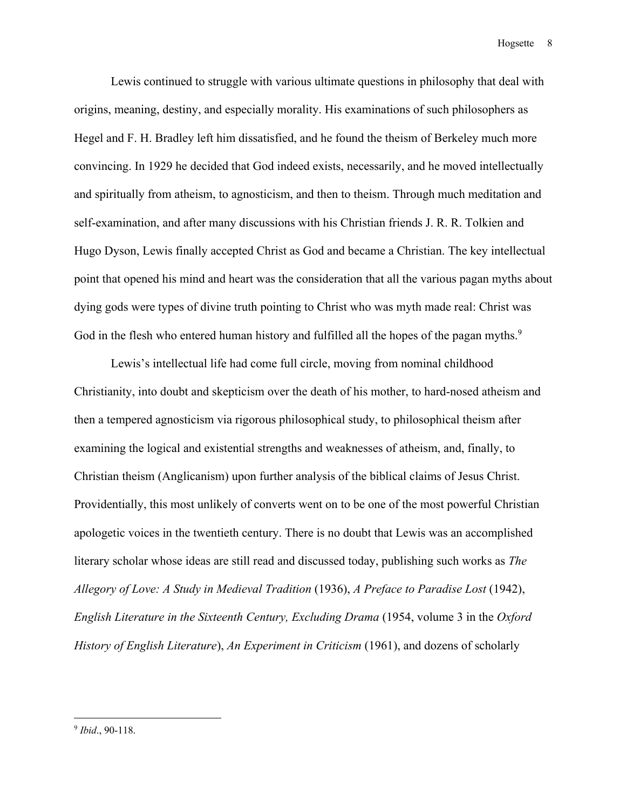Lewis continued to struggle with various ultimate questions in philosophy that deal with origins, meaning, destiny, and especially morality. His examinations of such philosophers as Hegel and F. H. Bradley left him dissatisfied, and he found the theism of Berkeley much more convincing. In 1929 he decided that God indeed exists, necessarily, and he moved intellectually and spiritually from atheism, to agnosticism, and then to theism. Through much meditation and self-examination, and after many discussions with his Christian friends J. R. R. Tolkien and Hugo Dyson, Lewis finally accepted Christ as God and became a Christian. The key intellectual point that opened his mind and heart was the consideration that all the various pagan myths about dying gods were types of divine truth pointing to Christ who was myth made real: Christ was God in the flesh who entered human history and fulfilled all the hopes of the pagan myths.<sup>9</sup>

Lewis's intellectual life had come full circle, moving from nominal childhood Christianity, into doubt and skepticism over the death of his mother, to hard-nosed atheism and then a tempered agnosticism via rigorous philosophical study, to philosophical theism after examining the logical and existential strengths and weaknesses of atheism, and, finally, to Christian theism (Anglicanism) upon further analysis of the biblical claims of Jesus Christ. Providentially, this most unlikely of converts went on to be one of the most powerful Christian apologetic voices in the twentieth century. There is no doubt that Lewis was an accomplished literary scholar whose ideas are still read and discussed today, publishing such works as *The Allegory of Love: A Study in Medieval Tradition* (1936), *A Preface to Paradise Lost* (1942), *English Literature in the Sixteenth Century, Excluding Drama* (1954, volume 3 in the *Oxford History of English Literature*), *An Experiment in Criticism* (1961), and dozens of scholarly

<sup>9</sup> *Ibid*., 90-118.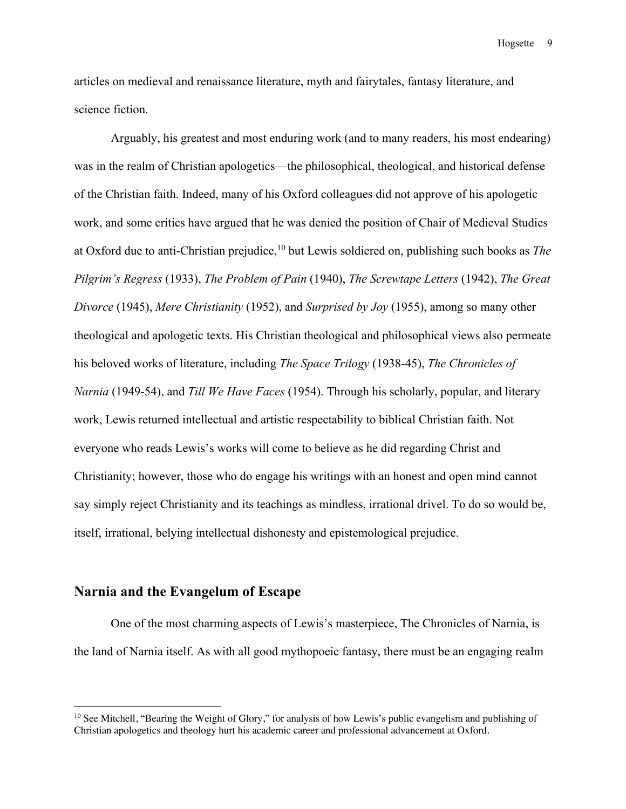articles on medieval and renaissance literature, myth and fairytales, fantasy literature, and science fiction.

Arguably, his greatest and most enduring work (and to many readers, his most endearing) was in the realm of Christian apologetics—the philosophical, theological, and historical defense of the Christian faith. Indeed, many of his Oxford colleagues did not approve of his apologetic work, and some critics have argued that he was denied the position of Chair of Medieval Studies at Oxford due to anti-Christian prejudice,<sup>10</sup> but Lewis soldiered on, publishing such books as *The Pilgrim's Regress* (1933), *The Problem of Pain* (1940), *The Screwtape Letters* (1942), *The Great Divorce* (1945), *Mere Christianity* (1952), and *Surprised by Joy* (1955), among so many other theological and apologetic texts. His Christian theological and philosophical views also permeate his beloved works of literature, including *The Space Trilogy* (1938-45), *The Chronicles of Narnia* (1949-54), and *Till We Have Faces* (1954). Through his scholarly, popular, and literary work, Lewis returned intellectual and artistic respectability to biblical Christian faith. Not everyone who reads Lewis's works will come to believe as he did regarding Christ and Christianity; however, those who do engage his writings with an honest and open mind cannot say simply reject Christianity and its teachings as mindless, irrational drivel. To do so would be, itself, irrational, belying intellectual dishonesty and epistemological prejudice.

## **Narnia and the Evangelum of Escape**

 $\overline{a}$ 

One of the most charming aspects of Lewis's masterpiece, The Chronicles of Narnia, is the land of Narnia itself. As with all good mythopoeic fantasy, there must be an engaging realm

<sup>&</sup>lt;sup>10</sup> See Mitchell, "Bearing the Weight of Glory," for analysis of how Lewis's public evangelism and publishing of Christian apologetics and theology hurt his academic career and professional advancement at Oxford.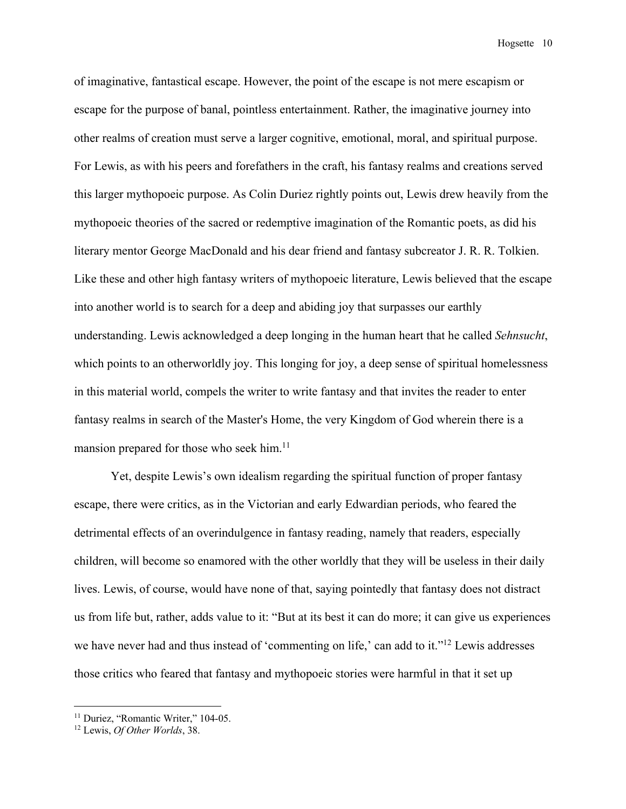of imaginative, fantastical escape. However, the point of the escape is not mere escapism or escape for the purpose of banal, pointless entertainment. Rather, the imaginative journey into other realms of creation must serve a larger cognitive, emotional, moral, and spiritual purpose. For Lewis, as with his peers and forefathers in the craft, his fantasy realms and creations served this larger mythopoeic purpose. As Colin Duriez rightly points out, Lewis drew heavily from the mythopoeic theories of the sacred or redemptive imagination of the Romantic poets, as did his literary mentor George MacDonald and his dear friend and fantasy subcreator J. R. R. Tolkien. Like these and other high fantasy writers of mythopoeic literature, Lewis believed that the escape into another world is to search for a deep and abiding joy that surpasses our earthly understanding. Lewis acknowledged a deep longing in the human heart that he called *Sehnsucht*, which points to an otherworldly joy. This longing for joy, a deep sense of spiritual homelessness in this material world, compels the writer to write fantasy and that invites the reader to enter fantasy realms in search of the Master's Home, the very Kingdom of God wherein there is a mansion prepared for those who seek him.<sup>11</sup>

Yet, despite Lewis's own idealism regarding the spiritual function of proper fantasy escape, there were critics, as in the Victorian and early Edwardian periods, who feared the detrimental effects of an overindulgence in fantasy reading, namely that readers, especially children, will become so enamored with the other worldly that they will be useless in their daily lives. Lewis, of course, would have none of that, saying pointedly that fantasy does not distract us from life but, rather, adds value to it: "But at its best it can do more; it can give us experiences we have never had and thus instead of 'commenting on life,' can add to it."<sup>12</sup> Lewis addresses those critics who feared that fantasy and mythopoeic stories were harmful in that it set up

<sup>&</sup>lt;sup>11</sup> Duriez, "Romantic Writer," 104-05.

<sup>12</sup> Lewis, *Of Other Worlds*, 38.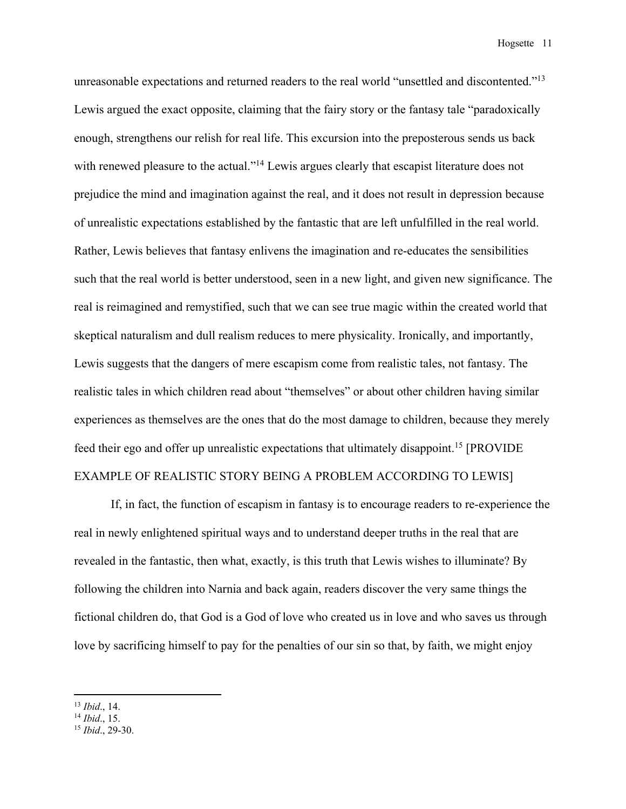unreasonable expectations and returned readers to the real world "unsettled and discontented."13 Lewis argued the exact opposite, claiming that the fairy story or the fantasy tale "paradoxically enough, strengthens our relish for real life. This excursion into the preposterous sends us back with renewed pleasure to the actual."<sup>14</sup> Lewis argues clearly that escapist literature does not prejudice the mind and imagination against the real, and it does not result in depression because of unrealistic expectations established by the fantastic that are left unfulfilled in the real world. Rather, Lewis believes that fantasy enlivens the imagination and re-educates the sensibilities such that the real world is better understood, seen in a new light, and given new significance. The real is reimagined and remystified, such that we can see true magic within the created world that skeptical naturalism and dull realism reduces to mere physicality. Ironically, and importantly, Lewis suggests that the dangers of mere escapism come from realistic tales, not fantasy. The realistic tales in which children read about "themselves" or about other children having similar experiences as themselves are the ones that do the most damage to children, because they merely feed their ego and offer up unrealistic expectations that ultimately disappoint.<sup>15</sup> [PROVIDE EXAMPLE OF REALISTIC STORY BEING A PROBLEM ACCORDING TO LEWIS]

If, in fact, the function of escapism in fantasy is to encourage readers to re-experience the real in newly enlightened spiritual ways and to understand deeper truths in the real that are revealed in the fantastic, then what, exactly, is this truth that Lewis wishes to illuminate? By following the children into Narnia and back again, readers discover the very same things the fictional children do, that God is a God of love who created us in love and who saves us through love by sacrificing himself to pay for the penalties of our sin so that, by faith, we might enjoy

<sup>13</sup> *Ibid*., 14.

<sup>14</sup> *Ibid*., 15.

<sup>15</sup> *Ibid*., 29-30.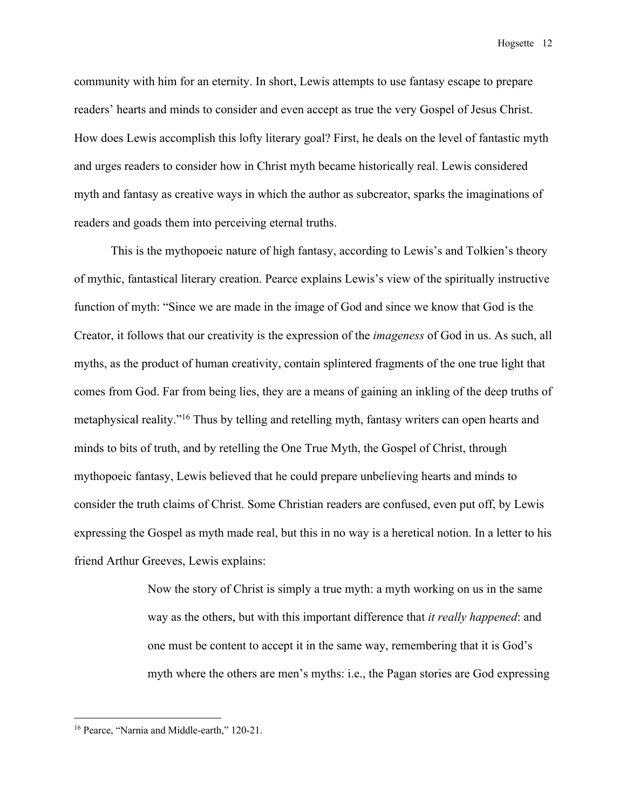community with him for an eternity. In short, Lewis attempts to use fantasy escape to prepare readers' hearts and minds to consider and even accept as true the very Gospel of Jesus Christ. How does Lewis accomplish this lofty literary goal? First, he deals on the level of fantastic myth and urges readers to consider how in Christ myth became historically real. Lewis considered myth and fantasy as creative ways in which the author as subcreator, sparks the imaginations of readers and goads them into perceiving eternal truths.

This is the mythopoeic nature of high fantasy, according to Lewis's and Tolkien's theory of mythic, fantastical literary creation. Pearce explains Lewis's view of the spiritually instructive function of myth: "Since we are made in the image of God and since we know that God is the Creator, it follows that our creativity is the expression of the *imageness* of God in us. As such, all myths, as the product of human creativity, contain splintered fragments of the one true light that comes from God. Far from being lies, they are a means of gaining an inkling of the deep truths of metaphysical reality."16 Thus by telling and retelling myth, fantasy writers can open hearts and minds to bits of truth, and by retelling the One True Myth, the Gospel of Christ, through mythopoeic fantasy, Lewis believed that he could prepare unbelieving hearts and minds to consider the truth claims of Christ. Some Christian readers are confused, even put off, by Lewis expressing the Gospel as myth made real, but this in no way is a heretical notion. In a letter to his friend Arthur Greeves, Lewis explains:

> Now the story of Christ is simply a true myth: a myth working on us in the same way as the others, but with this important difference that *it really happened*: and one must be content to accept it in the same way, remembering that it is God's myth where the others are men's myths: i.e., the Pagan stories are God expressing

<sup>&</sup>lt;sup>16</sup> Pearce, "Narnia and Middle-earth," 120-21.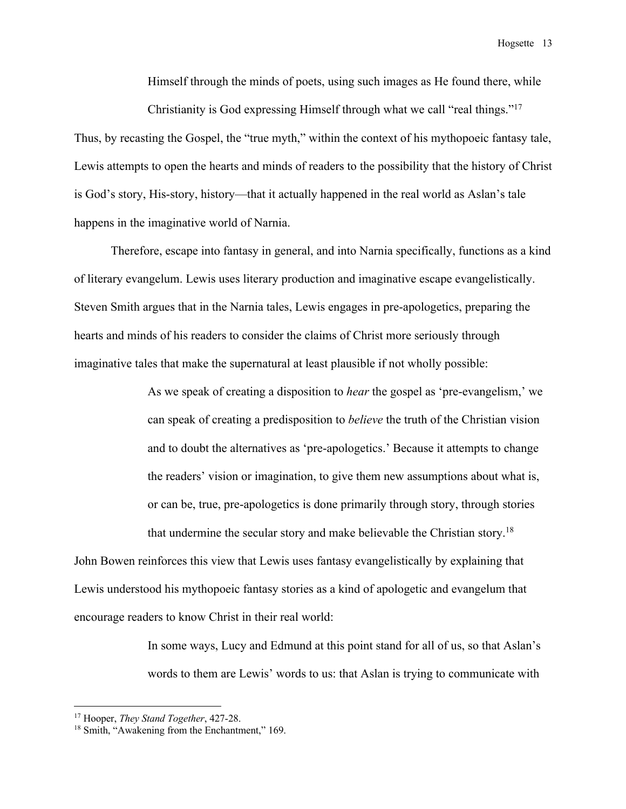Himself through the minds of poets, using such images as He found there, while Christianity is God expressing Himself through what we call "real things."<sup>17</sup>

Thus, by recasting the Gospel, the "true myth," within the context of his mythopoeic fantasy tale, Lewis attempts to open the hearts and minds of readers to the possibility that the history of Christ is God's story, His-story, history—that it actually happened in the real world as Aslan's tale happens in the imaginative world of Narnia.

Therefore, escape into fantasy in general, and into Narnia specifically, functions as a kind of literary evangelum. Lewis uses literary production and imaginative escape evangelistically. Steven Smith argues that in the Narnia tales, Lewis engages in pre-apologetics, preparing the hearts and minds of his readers to consider the claims of Christ more seriously through imaginative tales that make the supernatural at least plausible if not wholly possible:

> As we speak of creating a disposition to *hear* the gospel as 'pre-evangelism,' we can speak of creating a predisposition to *believe* the truth of the Christian vision and to doubt the alternatives as 'pre-apologetics.' Because it attempts to change the readers' vision or imagination, to give them new assumptions about what is, or can be, true, pre-apologetics is done primarily through story, through stories that undermine the secular story and make believable the Christian story.18

John Bowen reinforces this view that Lewis uses fantasy evangelistically by explaining that Lewis understood his mythopoeic fantasy stories as a kind of apologetic and evangelum that encourage readers to know Christ in their real world:

> In some ways, Lucy and Edmund at this point stand for all of us, so that Aslan's words to them are Lewis' words to us: that Aslan is trying to communicate with

<sup>17</sup> Hooper, *They Stand Together*, 427-28.

<sup>&</sup>lt;sup>18</sup> Smith, "Awakening from the Enchantment," 169.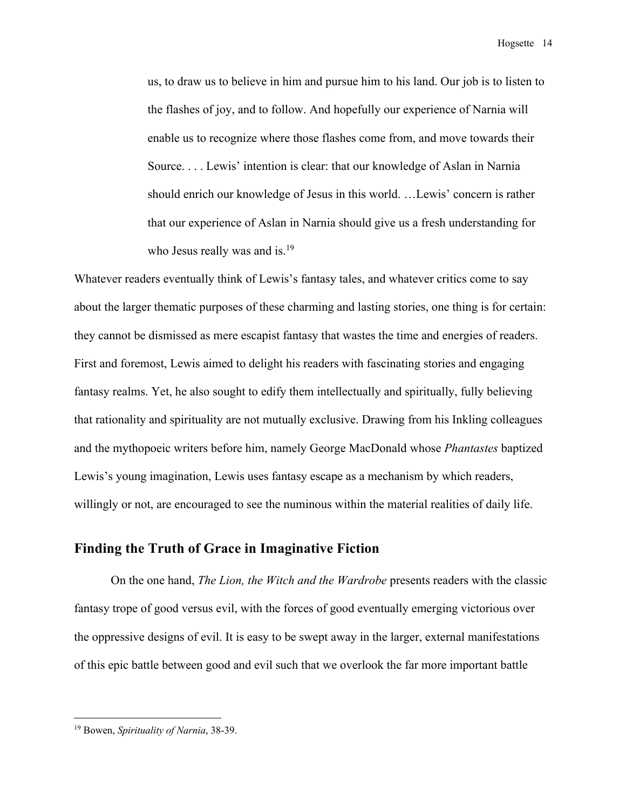us, to draw us to believe in him and pursue him to his land. Our job is to listen to the flashes of joy, and to follow. And hopefully our experience of Narnia will enable us to recognize where those flashes come from, and move towards their Source. . . . Lewis' intention is clear: that our knowledge of Aslan in Narnia should enrich our knowledge of Jesus in this world. …Lewis' concern is rather that our experience of Aslan in Narnia should give us a fresh understanding for who Jesus really was and is.<sup>19</sup>

Whatever readers eventually think of Lewis's fantasy tales, and whatever critics come to say about the larger thematic purposes of these charming and lasting stories, one thing is for certain: they cannot be dismissed as mere escapist fantasy that wastes the time and energies of readers. First and foremost, Lewis aimed to delight his readers with fascinating stories and engaging fantasy realms. Yet, he also sought to edify them intellectually and spiritually, fully believing that rationality and spirituality are not mutually exclusive. Drawing from his Inkling colleagues and the mythopoeic writers before him, namely George MacDonald whose *Phantastes* baptized Lewis's young imagination, Lewis uses fantasy escape as a mechanism by which readers, willingly or not, are encouraged to see the numinous within the material realities of daily life.

#### **Finding the Truth of Grace in Imaginative Fiction**

On the one hand, *The Lion, the Witch and the Wardrobe* presents readers with the classic fantasy trope of good versus evil, with the forces of good eventually emerging victorious over the oppressive designs of evil. It is easy to be swept away in the larger, external manifestations of this epic battle between good and evil such that we overlook the far more important battle

<sup>19</sup> Bowen, *Spirituality of Narnia*, 38-39.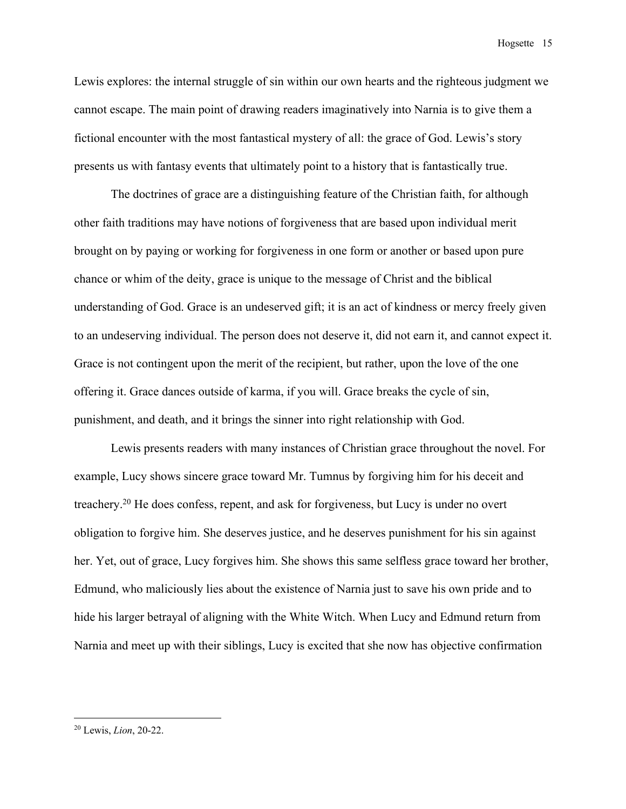Lewis explores: the internal struggle of sin within our own hearts and the righteous judgment we cannot escape. The main point of drawing readers imaginatively into Narnia is to give them a fictional encounter with the most fantastical mystery of all: the grace of God. Lewis's story presents us with fantasy events that ultimately point to a history that is fantastically true.

The doctrines of grace are a distinguishing feature of the Christian faith, for although other faith traditions may have notions of forgiveness that are based upon individual merit brought on by paying or working for forgiveness in one form or another or based upon pure chance or whim of the deity, grace is unique to the message of Christ and the biblical understanding of God. Grace is an undeserved gift; it is an act of kindness or mercy freely given to an undeserving individual. The person does not deserve it, did not earn it, and cannot expect it. Grace is not contingent upon the merit of the recipient, but rather, upon the love of the one offering it. Grace dances outside of karma, if you will. Grace breaks the cycle of sin, punishment, and death, and it brings the sinner into right relationship with God.

Lewis presents readers with many instances of Christian grace throughout the novel. For example, Lucy shows sincere grace toward Mr. Tumnus by forgiving him for his deceit and treachery.20 He does confess, repent, and ask for forgiveness, but Lucy is under no overt obligation to forgive him. She deserves justice, and he deserves punishment for his sin against her. Yet, out of grace, Lucy forgives him. She shows this same selfless grace toward her brother, Edmund, who maliciously lies about the existence of Narnia just to save his own pride and to hide his larger betrayal of aligning with the White Witch. When Lucy and Edmund return from Narnia and meet up with their siblings, Lucy is excited that she now has objective confirmation

<sup>20</sup> Lewis, *Lion*, 20-22.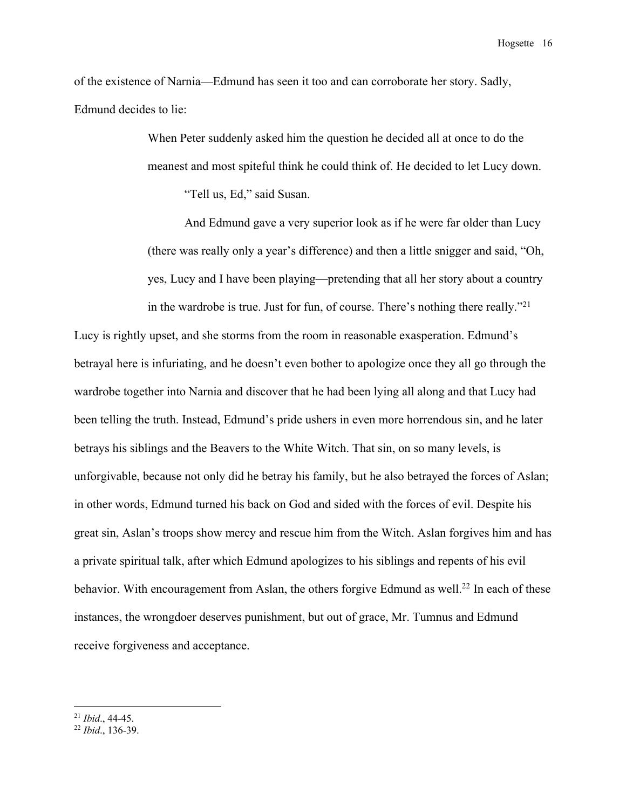of the existence of Narnia—Edmund has seen it too and can corroborate her story. Sadly, Edmund decides to lie:

> When Peter suddenly asked him the question he decided all at once to do the meanest and most spiteful think he could think of. He decided to let Lucy down.

"Tell us, Ed," said Susan.

And Edmund gave a very superior look as if he were far older than Lucy (there was really only a year's difference) and then a little snigger and said, "Oh, yes, Lucy and I have been playing—pretending that all her story about a country in the wardrobe is true. Just for fun, of course. There's nothing there really."21

Lucy is rightly upset, and she storms from the room in reasonable exasperation. Edmund's betrayal here is infuriating, and he doesn't even bother to apologize once they all go through the wardrobe together into Narnia and discover that he had been lying all along and that Lucy had been telling the truth. Instead, Edmund's pride ushers in even more horrendous sin, and he later betrays his siblings and the Beavers to the White Witch. That sin, on so many levels, is unforgivable, because not only did he betray his family, but he also betrayed the forces of Aslan; in other words, Edmund turned his back on God and sided with the forces of evil. Despite his great sin, Aslan's troops show mercy and rescue him from the Witch. Aslan forgives him and has a private spiritual talk, after which Edmund apologizes to his siblings and repents of his evil behavior. With encouragement from Aslan, the others forgive Edmund as well.<sup>22</sup> In each of these instances, the wrongdoer deserves punishment, but out of grace, Mr. Tumnus and Edmund receive forgiveness and acceptance.

<sup>21</sup> *Ibid*., 44-45.

<sup>22</sup> *Ibid*., 136-39.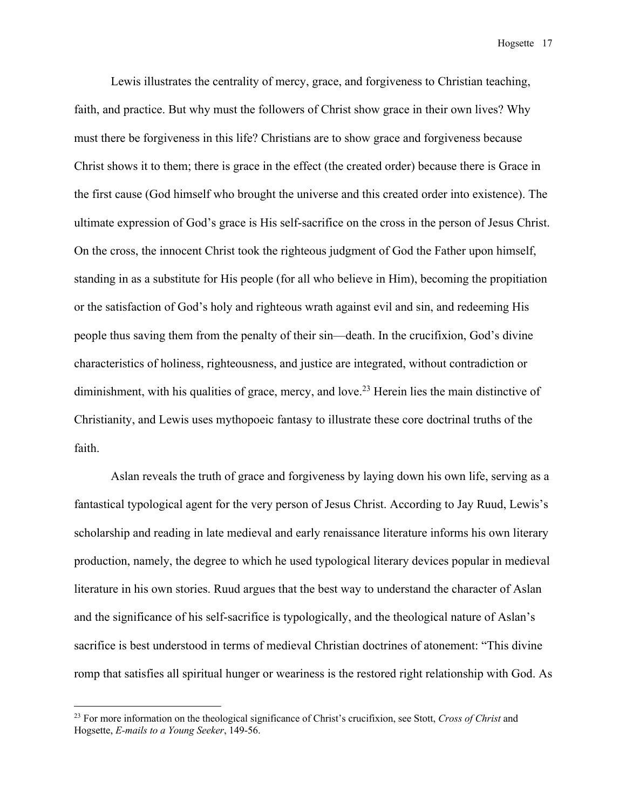Lewis illustrates the centrality of mercy, grace, and forgiveness to Christian teaching, faith, and practice. But why must the followers of Christ show grace in their own lives? Why must there be forgiveness in this life? Christians are to show grace and forgiveness because Christ shows it to them; there is grace in the effect (the created order) because there is Grace in the first cause (God himself who brought the universe and this created order into existence). The ultimate expression of God's grace is His self-sacrifice on the cross in the person of Jesus Christ. On the cross, the innocent Christ took the righteous judgment of God the Father upon himself, standing in as a substitute for His people (for all who believe in Him), becoming the propitiation or the satisfaction of God's holy and righteous wrath against evil and sin, and redeeming His people thus saving them from the penalty of their sin—death. In the crucifixion, God's divine characteristics of holiness, righteousness, and justice are integrated, without contradiction or diminishment, with his qualities of grace, mercy, and love.<sup>23</sup> Herein lies the main distinctive of Christianity, and Lewis uses mythopoeic fantasy to illustrate these core doctrinal truths of the faith.

Aslan reveals the truth of grace and forgiveness by laying down his own life, serving as a fantastical typological agent for the very person of Jesus Christ. According to Jay Ruud, Lewis's scholarship and reading in late medieval and early renaissance literature informs his own literary production, namely, the degree to which he used typological literary devices popular in medieval literature in his own stories. Ruud argues that the best way to understand the character of Aslan and the significance of his self-sacrifice is typologically, and the theological nature of Aslan's sacrifice is best understood in terms of medieval Christian doctrines of atonement: "This divine romp that satisfies all spiritual hunger or weariness is the restored right relationship with God. As

<sup>23</sup> For more information on the theological significance of Christ's crucifixion, see Stott, *Cross of Christ* and Hogsette, *E-mails to a Young Seeker*, 149-56.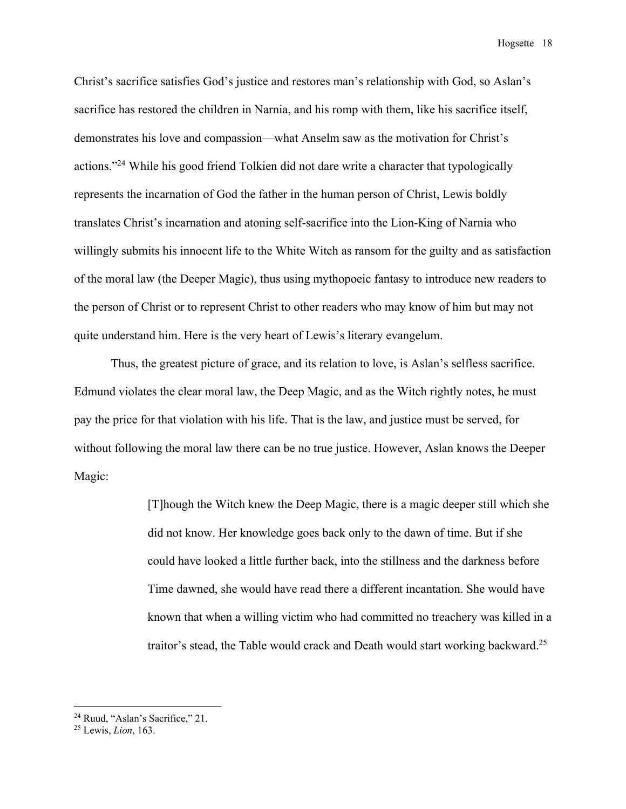Christ's sacrifice satisfies God's justice and restores man's relationship with God, so Aslan's sacrifice has restored the children in Narnia, and his romp with them, like his sacrifice itself, demonstrates his love and compassion—what Anselm saw as the motivation for Christ's actions."24 While his good friend Tolkien did not dare write a character that typologically represents the incarnation of God the father in the human person of Christ, Lewis boldly translates Christ's incarnation and atoning self-sacrifice into the Lion-King of Narnia who willingly submits his innocent life to the White Witch as ransom for the guilty and as satisfaction of the moral law (the Deeper Magic), thus using mythopoeic fantasy to introduce new readers to the person of Christ or to represent Christ to other readers who may know of him but may not quite understand him. Here is the very heart of Lewis's literary evangelum.

Thus, the greatest picture of grace, and its relation to love, is Aslan's selfless sacrifice. Edmund violates the clear moral law, the Deep Magic, and as the Witch rightly notes, he must pay the price for that violation with his life. That is the law, and justice must be served, for without following the moral law there can be no true justice. However, Aslan knows the Deeper Magic:

> [T]hough the Witch knew the Deep Magic, there is a magic deeper still which she did not know. Her knowledge goes back only to the dawn of time. But if she could have looked a little further back, into the stillness and the darkness before Time dawned, she would have read there a different incantation. She would have known that when a willing victim who had committed no treachery was killed in a traitor's stead, the Table would crack and Death would start working backward.25

<sup>24</sup> Ruud, "Aslan's Sacrifice," 21. 25 Lewis, *Lion*, 163.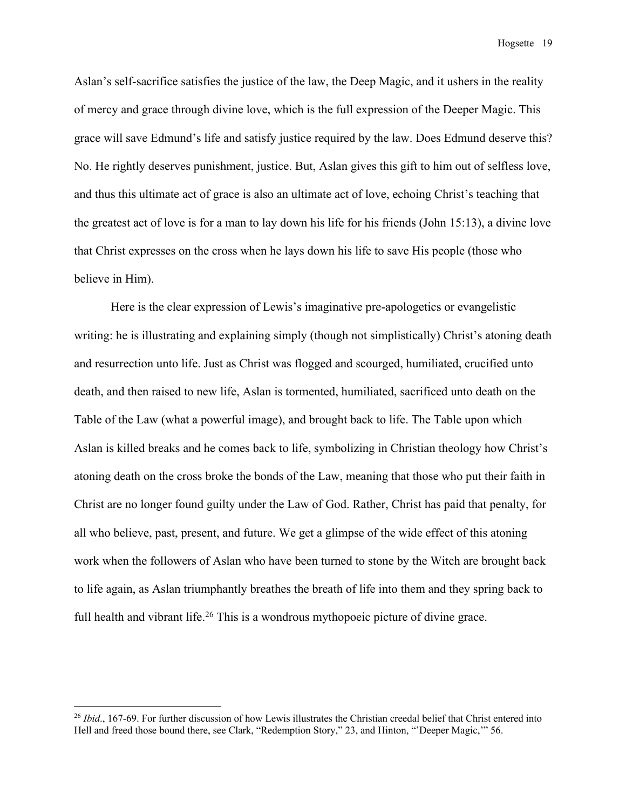Aslan's self-sacrifice satisfies the justice of the law, the Deep Magic, and it ushers in the reality of mercy and grace through divine love, which is the full expression of the Deeper Magic. This grace will save Edmund's life and satisfy justice required by the law. Does Edmund deserve this? No. He rightly deserves punishment, justice. But, Aslan gives this gift to him out of selfless love, and thus this ultimate act of grace is also an ultimate act of love, echoing Christ's teaching that the greatest act of love is for a man to lay down his life for his friends (John 15:13), a divine love that Christ expresses on the cross when he lays down his life to save His people (those who believe in Him).

Here is the clear expression of Lewis's imaginative pre-apologetics or evangelistic writing: he is illustrating and explaining simply (though not simplistically) Christ's atoning death and resurrection unto life. Just as Christ was flogged and scourged, humiliated, crucified unto death, and then raised to new life, Aslan is tormented, humiliated, sacrificed unto death on the Table of the Law (what a powerful image), and brought back to life. The Table upon which Aslan is killed breaks and he comes back to life, symbolizing in Christian theology how Christ's atoning death on the cross broke the bonds of the Law, meaning that those who put their faith in Christ are no longer found guilty under the Law of God. Rather, Christ has paid that penalty, for all who believe, past, present, and future. We get a glimpse of the wide effect of this atoning work when the followers of Aslan who have been turned to stone by the Witch are brought back to life again, as Aslan triumphantly breathes the breath of life into them and they spring back to full health and vibrant life.<sup>26</sup> This is a wondrous mythopoeic picture of divine grace.

<sup>&</sup>lt;sup>26</sup> *Ibid.*, 167-69. For further discussion of how Lewis illustrates the Christian creedal belief that Christ entered into Hell and freed those bound there, see Clark, "Redemption Story," 23, and Hinton, "'Deeper Magic,'" 56.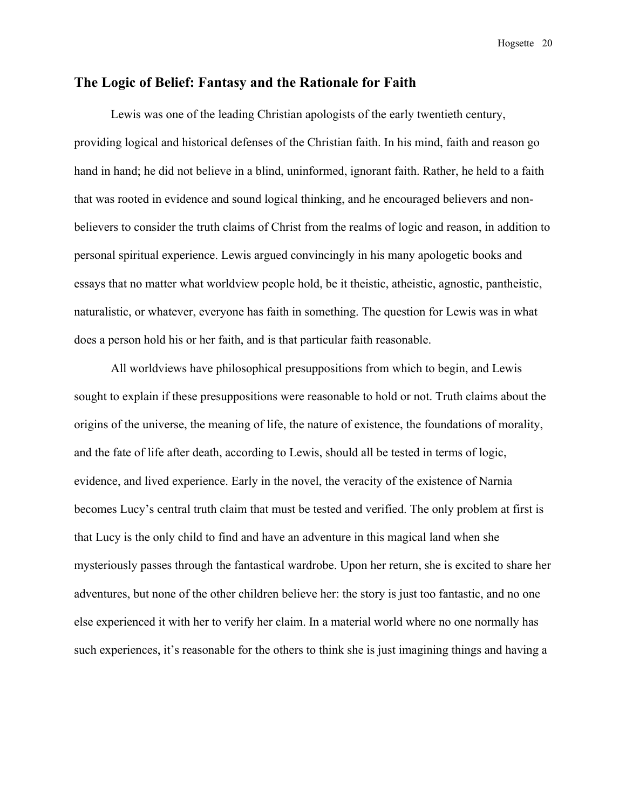### **The Logic of Belief: Fantasy and the Rationale for Faith**

Lewis was one of the leading Christian apologists of the early twentieth century, providing logical and historical defenses of the Christian faith. In his mind, faith and reason go hand in hand; he did not believe in a blind, uninformed, ignorant faith. Rather, he held to a faith that was rooted in evidence and sound logical thinking, and he encouraged believers and nonbelievers to consider the truth claims of Christ from the realms of logic and reason, in addition to personal spiritual experience. Lewis argued convincingly in his many apologetic books and essays that no matter what worldview people hold, be it theistic, atheistic, agnostic, pantheistic, naturalistic, or whatever, everyone has faith in something. The question for Lewis was in what does a person hold his or her faith, and is that particular faith reasonable.

All worldviews have philosophical presuppositions from which to begin, and Lewis sought to explain if these presuppositions were reasonable to hold or not. Truth claims about the origins of the universe, the meaning of life, the nature of existence, the foundations of morality, and the fate of life after death, according to Lewis, should all be tested in terms of logic, evidence, and lived experience. Early in the novel, the veracity of the existence of Narnia becomes Lucy's central truth claim that must be tested and verified. The only problem at first is that Lucy is the only child to find and have an adventure in this magical land when she mysteriously passes through the fantastical wardrobe. Upon her return, she is excited to share her adventures, but none of the other children believe her: the story is just too fantastic, and no one else experienced it with her to verify her claim. In a material world where no one normally has such experiences, it's reasonable for the others to think she is just imagining things and having a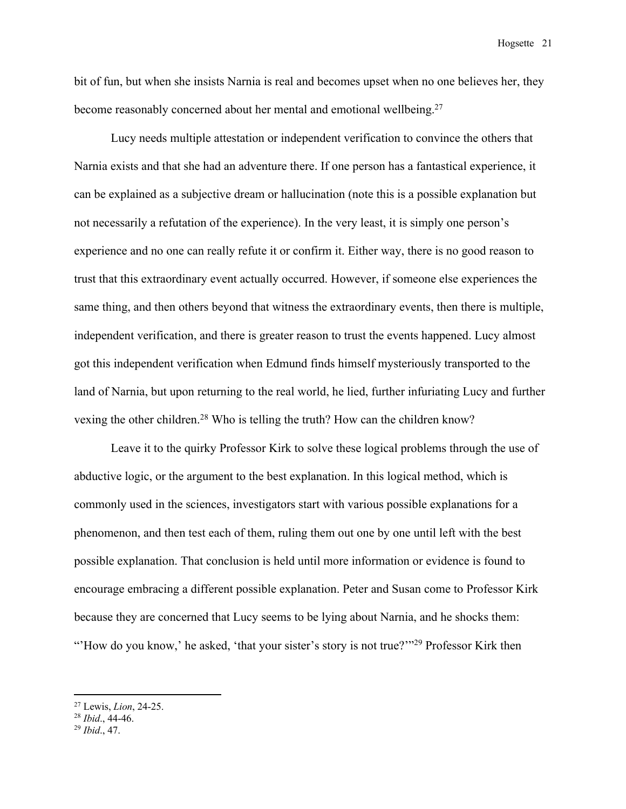bit of fun, but when she insists Narnia is real and becomes upset when no one believes her, they become reasonably concerned about her mental and emotional wellbeing.<sup>27</sup>

Lucy needs multiple attestation or independent verification to convince the others that Narnia exists and that she had an adventure there. If one person has a fantastical experience, it can be explained as a subjective dream or hallucination (note this is a possible explanation but not necessarily a refutation of the experience). In the very least, it is simply one person's experience and no one can really refute it or confirm it. Either way, there is no good reason to trust that this extraordinary event actually occurred. However, if someone else experiences the same thing, and then others beyond that witness the extraordinary events, then there is multiple, independent verification, and there is greater reason to trust the events happened. Lucy almost got this independent verification when Edmund finds himself mysteriously transported to the land of Narnia, but upon returning to the real world, he lied, further infuriating Lucy and further vexing the other children.<sup>28</sup> Who is telling the truth? How can the children know?

Leave it to the quirky Professor Kirk to solve these logical problems through the use of abductive logic, or the argument to the best explanation. In this logical method, which is commonly used in the sciences, investigators start with various possible explanations for a phenomenon, and then test each of them, ruling them out one by one until left with the best possible explanation. That conclusion is held until more information or evidence is found to encourage embracing a different possible explanation. Peter and Susan come to Professor Kirk because they are concerned that Lucy seems to be lying about Narnia, and he shocks them: "How do you know,' he asked, 'that your sister's story is not true?"<sup>29</sup> Professor Kirk then

<sup>27</sup> Lewis, *Lion*, 24-25.

<sup>28</sup> *Ibid*., 44-46.

<sup>29</sup> *Ibid*., 47.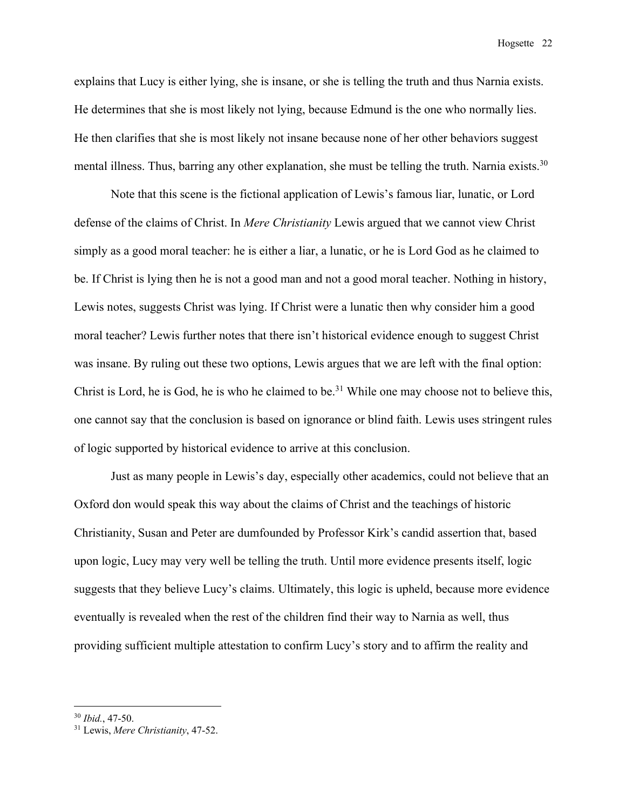explains that Lucy is either lying, she is insane, or she is telling the truth and thus Narnia exists. He determines that she is most likely not lying, because Edmund is the one who normally lies. He then clarifies that she is most likely not insane because none of her other behaviors suggest mental illness. Thus, barring any other explanation, she must be telling the truth. Narnia exists.<sup>30</sup>

Note that this scene is the fictional application of Lewis's famous liar, lunatic, or Lord defense of the claims of Christ. In *Mere Christianity* Lewis argued that we cannot view Christ simply as a good moral teacher: he is either a liar, a lunatic, or he is Lord God as he claimed to be. If Christ is lying then he is not a good man and not a good moral teacher. Nothing in history, Lewis notes, suggests Christ was lying. If Christ were a lunatic then why consider him a good moral teacher? Lewis further notes that there isn't historical evidence enough to suggest Christ was insane. By ruling out these two options, Lewis argues that we are left with the final option: Christ is Lord, he is God, he is who he claimed to be.<sup>31</sup> While one may choose not to believe this, one cannot say that the conclusion is based on ignorance or blind faith. Lewis uses stringent rules of logic supported by historical evidence to arrive at this conclusion.

Just as many people in Lewis's day, especially other academics, could not believe that an Oxford don would speak this way about the claims of Christ and the teachings of historic Christianity, Susan and Peter are dumfounded by Professor Kirk's candid assertion that, based upon logic, Lucy may very well be telling the truth. Until more evidence presents itself, logic suggests that they believe Lucy's claims. Ultimately, this logic is upheld, because more evidence eventually is revealed when the rest of the children find their way to Narnia as well, thus providing sufficient multiple attestation to confirm Lucy's story and to affirm the reality and

<sup>30</sup> *Ibid.*, 47-50.

<sup>31</sup> Lewis, *Mere Christianity*, 47-52.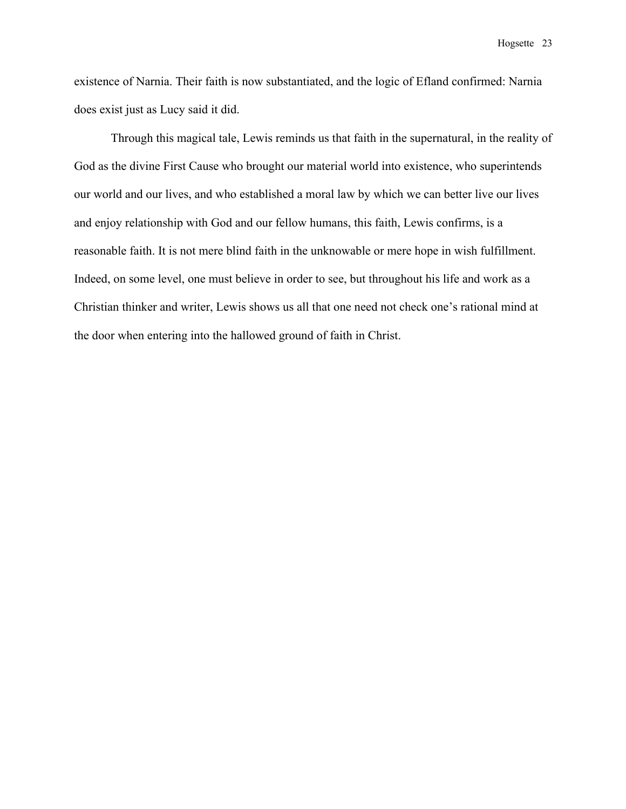existence of Narnia. Their faith is now substantiated, and the logic of Efland confirmed: Narnia does exist just as Lucy said it did.

Through this magical tale, Lewis reminds us that faith in the supernatural, in the reality of God as the divine First Cause who brought our material world into existence, who superintends our world and our lives, and who established a moral law by which we can better live our lives and enjoy relationship with God and our fellow humans, this faith, Lewis confirms, is a reasonable faith. It is not mere blind faith in the unknowable or mere hope in wish fulfillment. Indeed, on some level, one must believe in order to see, but throughout his life and work as a Christian thinker and writer, Lewis shows us all that one need not check one's rational mind at the door when entering into the hallowed ground of faith in Christ.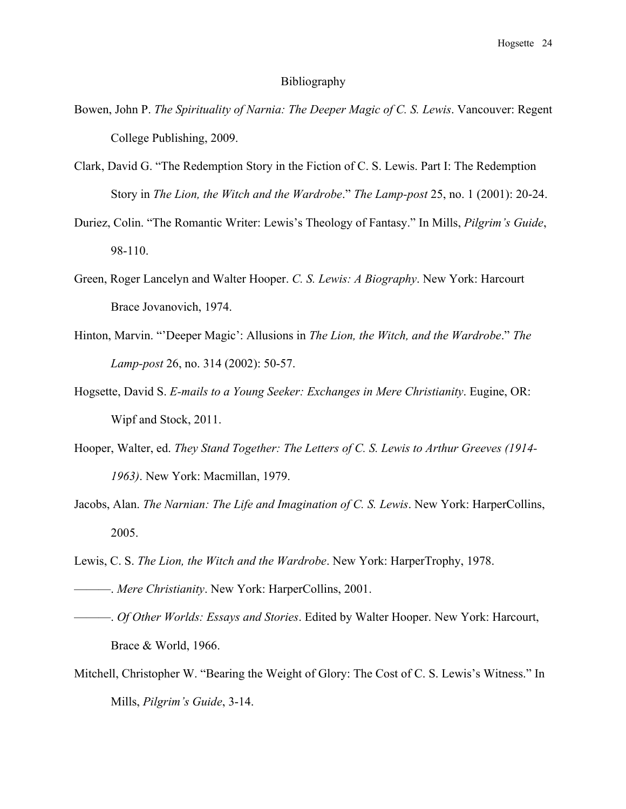#### Bibliography

- Bowen, John P. *The Spirituality of Narnia: The Deeper Magic of C. S. Lewis*. Vancouver: Regent College Publishing, 2009.
- Clark, David G. "The Redemption Story in the Fiction of C. S. Lewis. Part I: The Redemption Story in *The Lion, the Witch and the Wardrobe*." *The Lamp-post* 25, no. 1 (2001): 20-24.
- Duriez, Colin. "The Romantic Writer: Lewis's Theology of Fantasy." In Mills, *Pilgrim's Guide*, 98-110.
- Green, Roger Lancelyn and Walter Hooper. *C. S. Lewis: A Biography*. New York: Harcourt Brace Jovanovich, 1974.
- Hinton, Marvin. "'Deeper Magic': Allusions in *The Lion, the Witch, and the Wardrobe*." *The Lamp-post* 26, no. 314 (2002): 50-57.
- Hogsette, David S. *E-mails to a Young Seeker: Exchanges in Mere Christianity*. Eugine, OR: Wipf and Stock, 2011.
- Hooper, Walter, ed. *They Stand Together: The Letters of C. S. Lewis to Arthur Greeves (1914- 1963)*. New York: Macmillan, 1979.
- Jacobs, Alan. *The Narnian: The Life and Imagination of C. S. Lewis*. New York: HarperCollins, 2005.
- Lewis, C. S. *The Lion, the Witch and the Wardrobe*. New York: HarperTrophy, 1978.
- ———. *Mere Christianity*. New York: HarperCollins, 2001.
- ———. *Of Other Worlds: Essays and Stories*. Edited by Walter Hooper. New York: Harcourt, Brace & World, 1966.
- Mitchell, Christopher W. "Bearing the Weight of Glory: The Cost of C. S. Lewis's Witness." In Mills, *Pilgrim's Guide*, 3-14.